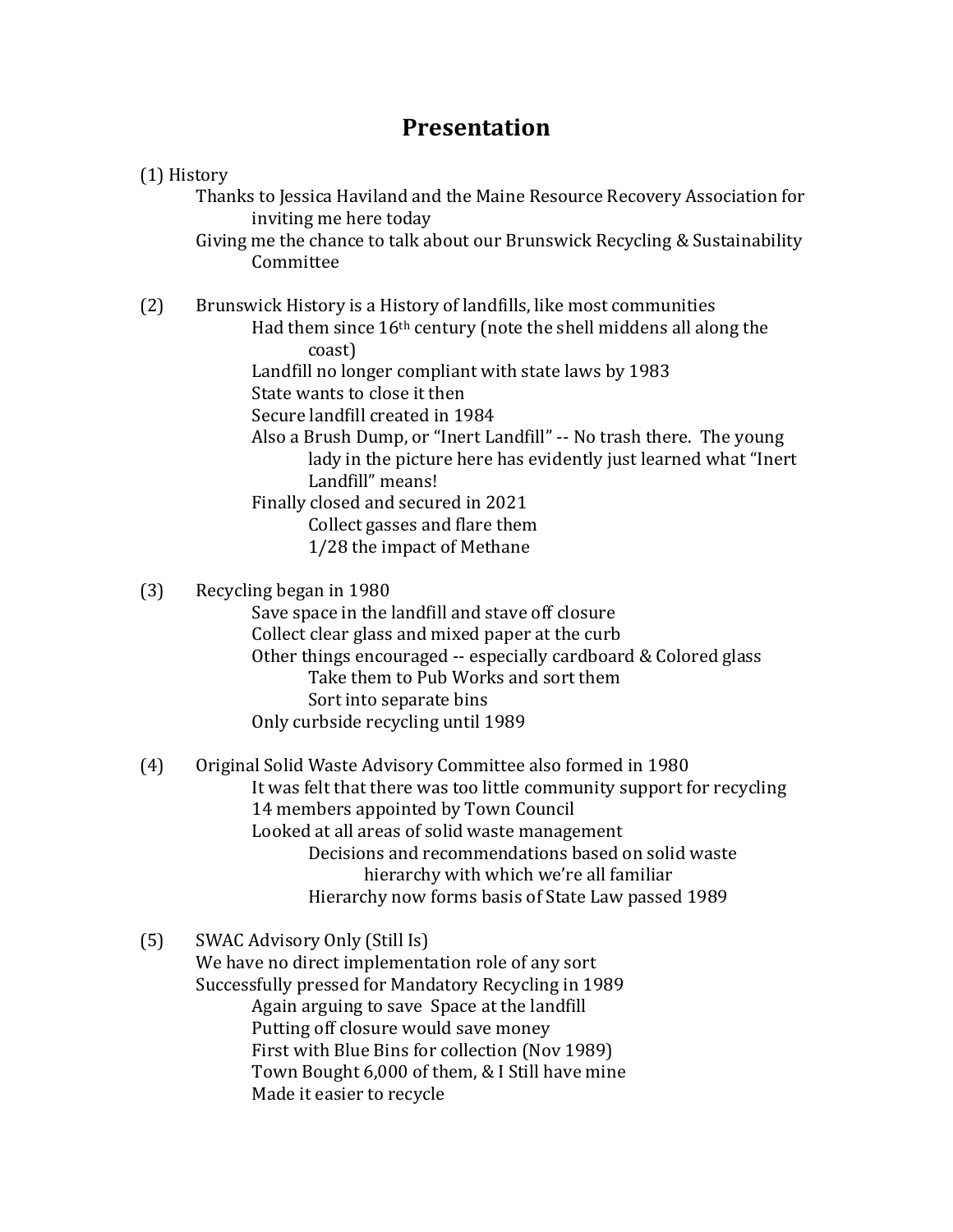## **Presentation**

## (1) History

Thanks to Jessica Haviland and the Maine Resource Recovery Association for inviting me here today

Giving me the chance to talk about our Brunswick Recycling & Sustainability **Committee** 

(2) Brunswick History is a History of landfills, like most communities

- Had them since 16th century (note the shell middens all along the coast)
	- Landfill no longer compliant with state laws by 1983
	- State wants to close it then
	- Secure landfill created in 1984
	- Also a Brush Dump, or "Inert Landfill" -- No trash there. The young lady in the picture here has evidently just learned what "Inert Landfill" means!

Finally closed and secured in 2021

- Collect gasses and flare them
- 1/28 the impact of Methane
- (3) Recycling began in 1980

Save space in the landfill and stave off closure Collect clear glass and mixed paper at the curb Other things encouraged -- especially cardboard & Colored glass Take them to Pub Works and sort them Sort into separate bins Only curbside recycling until 1989

- (4) Original Solid Waste Advisory Committee also formed in 1980 It was felt that there was too little community support for recycling 14 members appointed by Town Council Looked at all areas of solid waste management Decisions and recommendations based on solid waste hierarchy with which we're all familiar Hierarchy now forms basis of State Law passed 1989
- (5) SWAC Advisory Only (Still Is) We have no direct implementation role of any sort Successfully pressed for Mandatory Recycling in 1989 Again arguing to save Space at the landfill Putting off closure would save money First with Blue Bins for collection (Nov 1989) Town Bought 6,000 of them, & I Still have mine Made it easier to recycle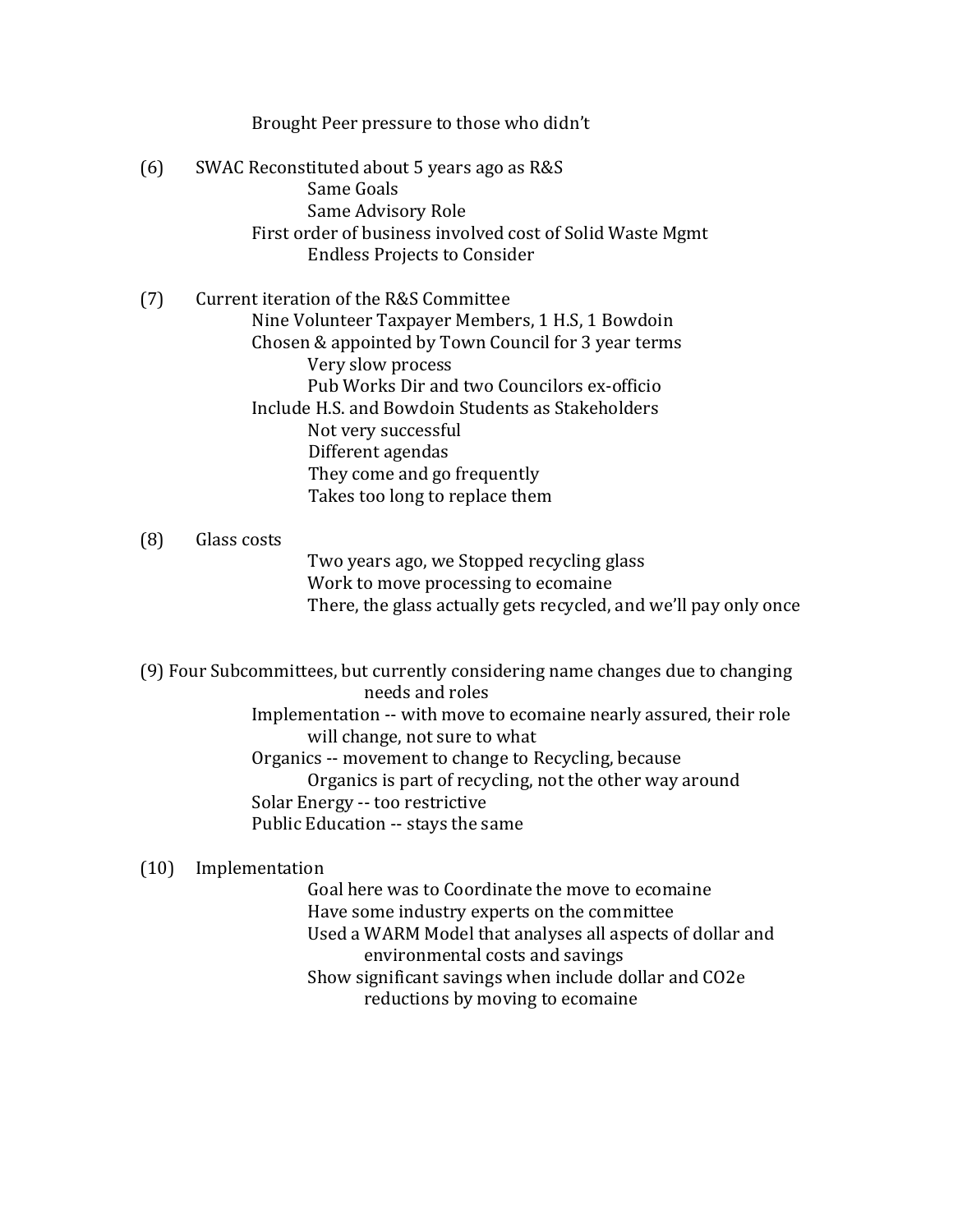|     | Brought Peer pressure to those who didn't                                                                                                                                                                                                                                                                                                                                                |
|-----|------------------------------------------------------------------------------------------------------------------------------------------------------------------------------------------------------------------------------------------------------------------------------------------------------------------------------------------------------------------------------------------|
| (6) | SWAC Reconstituted about 5 years ago as R&S<br>Same Goals<br>Same Advisory Role<br>First order of business involved cost of Solid Waste Mgmt<br><b>Endless Projects to Consider</b>                                                                                                                                                                                                      |
| (7) | Current iteration of the R&S Committee<br>Nine Volunteer Taxpayer Members, 1 H.S, 1 Bowdoin<br>Chosen & appointed by Town Council for 3 year terms<br>Very slow process<br>Pub Works Dir and two Councilors ex-officio<br>Include H.S. and Bowdoin Students as Stakeholders<br>Not very successful<br>Different agendas<br>They come and go frequently<br>Takes too long to replace them |
| (8) | Glass costs<br>Ture weeve ago, ure Ctenned vegyeling glass                                                                                                                                                                                                                                                                                                                               |

Two years ago, we Stopped recycling glass Work to move processing to ecomaine There, the glass actually gets recycled, and we'll pay only once

(9) Four Subcommittees, but currently considering name changes due to changing needs and roles

Implementation -- with move to ecomaine nearly assured, their role will change, not sure to what Organics -- movement to change to Recycling, because Organics is part of recycling, not the other way around Solar Energy -- too restrictive Public Education -- stays the same

## (10) Implementation

Goal here was to Coordinate the move to ecomaine Have some industry experts on the committee Used a WARM Model that analyses all aspects of dollar and environmental costs and savings Show significant savings when include dollar and CO2e reductions by moving to ecomaine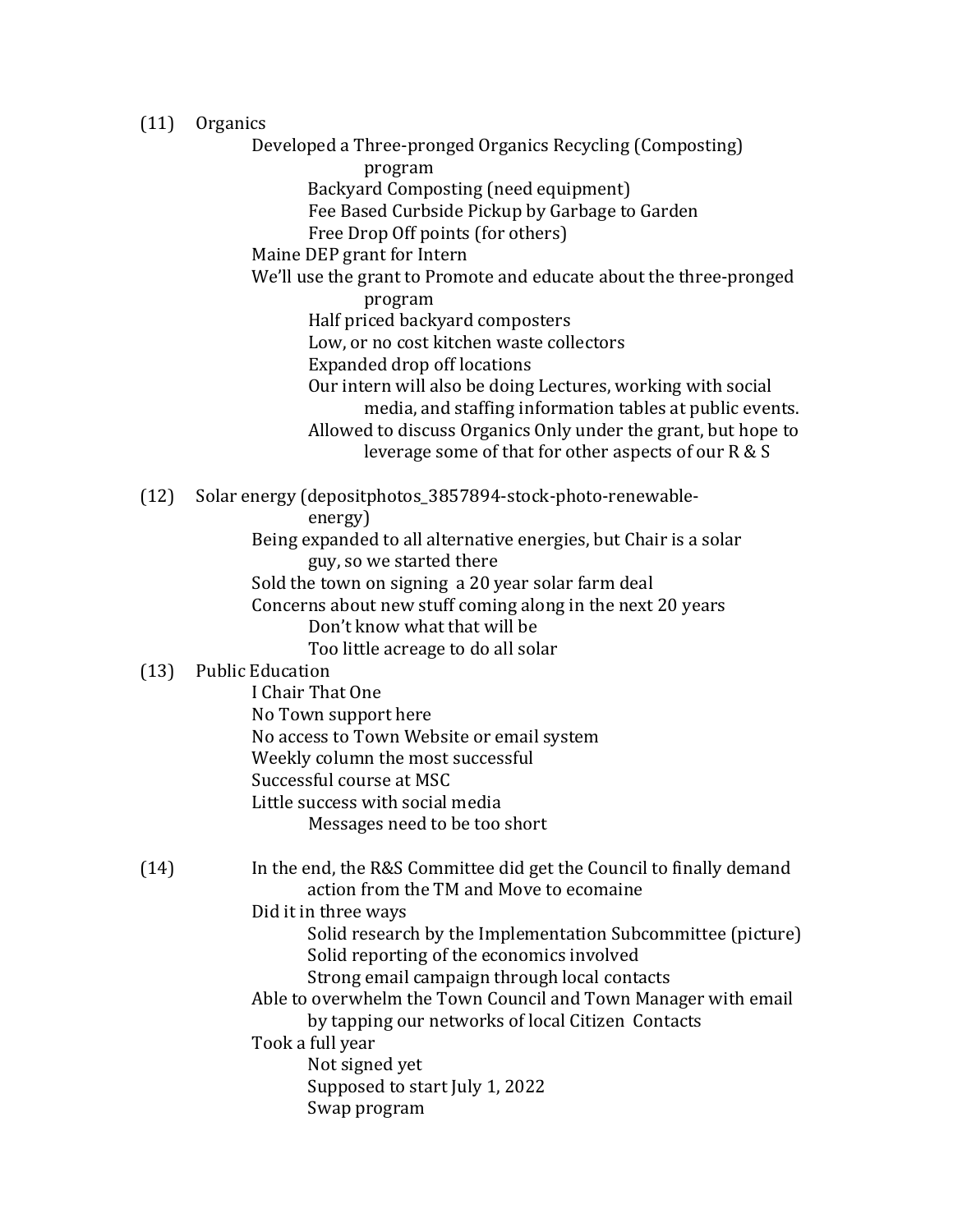(11) Organics

Developed a Three-pronged Organics Recycling (Composting) program Backyard Composting (need equipment) Fee Based Curbside Pickup by Garbage to Garden Free Drop Off points (for others) Maine DEP grant for Intern We'll use the grant to Promote and educate about the three-pronged program Half priced backyard composters Low, or no cost kitchen waste collectors Expanded drop off locations Our intern will also be doing Lectures, working with social media, and staffing information tables at public events. Allowed to discuss Organics Only under the grant, but hope to leverage some of that for other aspects of our R & S (12) Solar energy (depositphotos\_3857894-stock-photo-renewableenergy) Being expanded to all alternative energies, but Chair is a solar guy, so we started there Sold the town on signing a 20 year solar farm deal Concerns about new stuff coming along in the next 20 years Don't know what that will be Too little acreage to do all solar (13) Public Education I Chair That One No Town support here No access to Town Website or email system Weekly column the most successful Successful course at MSC Little success with social media Messages need to be too short (14) In the end, the R&S Committee did get the Council to finally demand action from the TM and Move to ecomaine Did it in three ways Solid research by the Implementation Subcommittee (picture) Solid reporting of the economics involved Strong email campaign through local contacts Able to overwhelm the Town Council and Town Manager with email by tapping our networks of local Citizen Contacts Took a full year Not signed yet Supposed to start July 1, 2022 Swap program